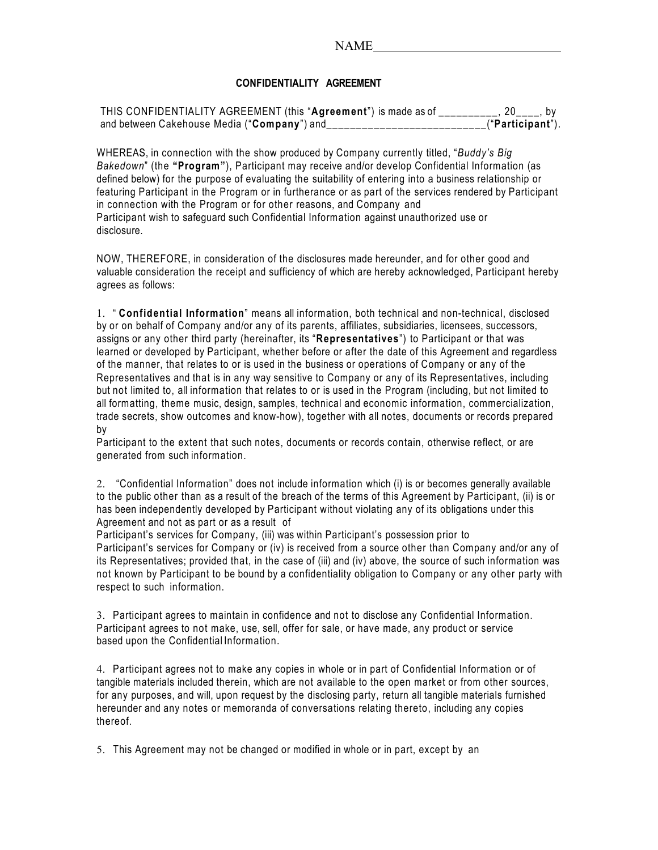## **CONFIDENTIALITY AGREEMENT**

| THIS CONFIDENTIALITY AGREEMENT (this "Agreement") is made as of |                   |  |
|-----------------------------------------------------------------|-------------------|--|
| and between Cakehouse Media ("Company") and                     | _("Participant"). |  |

WHEREAS, in connection with the show produced by Company currently titled, "*Buddy's Big Bakedown*" (the **"Program"**), Participant may receive and/or develop Confidential Information (as defined below) for the purpose of evaluating the suitability of entering into a business relationship or featuring Participant in the Program or in furtherance or as part of the services rendered by Participant in connection with the Program or for other reasons, and Company and Participant wish to safeguard such Confidential Information against unauthorized use or disclosure.

NOW, THEREFORE, in consideration of the disclosures made hereunder, and for other good and valuable consideration the receipt and sufficiency of which are hereby acknowledged, Participant hereby agrees as follows:

1. " **Confidential Information**" means all information, both technical and non-technical, disclosed by or on behalf of Company and/or any of its parents, affiliates, subsidiaries, licensees, successors, assigns or any other third party (hereinafter, its "**Representatives**") to Participant or that was learned or developed by Participant, whether before or after the date of this Agreement and regardless of the manner, that relates to or is used in the business or operations of Company or any of the Representatives and that is in any way sensitive to Company or any of its Representatives, including but not limited to, all information that relates to or is used in the Program (including, but not limited to all formatting, theme music, design, samples, technical and economic information, commercialization, trade secrets, show outcomes and know-how), together with all notes, documents or records prepared by

Participant to the extent that such notes, documents or records contain, otherwise reflect, or are generated from such information.

2. "Confidential Information" does not include information which (i) is or becomes generally available to the public other than as a result of the breach of the terms of this Agreement by Participant, (ii) is or has been independently developed by Participant without violating any of its obligations under this Agreement and not as part or as a result of

Participant's services for Company, (iii) was within Participant's possession prior to Participant's services for Company or (iv) is received from a source other than Company and/or any of its Representatives; provided that, in the case of (iii) and (iv) above, the source of such information was not known by Participant to be bound by a confidentiality obligation to Company or any other party with respect to such information.

3. Participant agrees to maintain in confidence and not to disclose any Confidential Information. Participant agrees to not make, use, sell, offer for sale, or have made, any product or service based upon the Confidential Information.

4. Participant agrees not to make any copies in whole or in part of Confidential Information or of tangible materials included therein, which are not available to the open market or from other sources, for any purposes, and will, upon request by the disclosing party, return all tangible materials furnished hereunder and any notes or memoranda of conversations relating thereto, including any copies thereof.

5. This Agreement may not be changed or modified in whole or in part, except by an